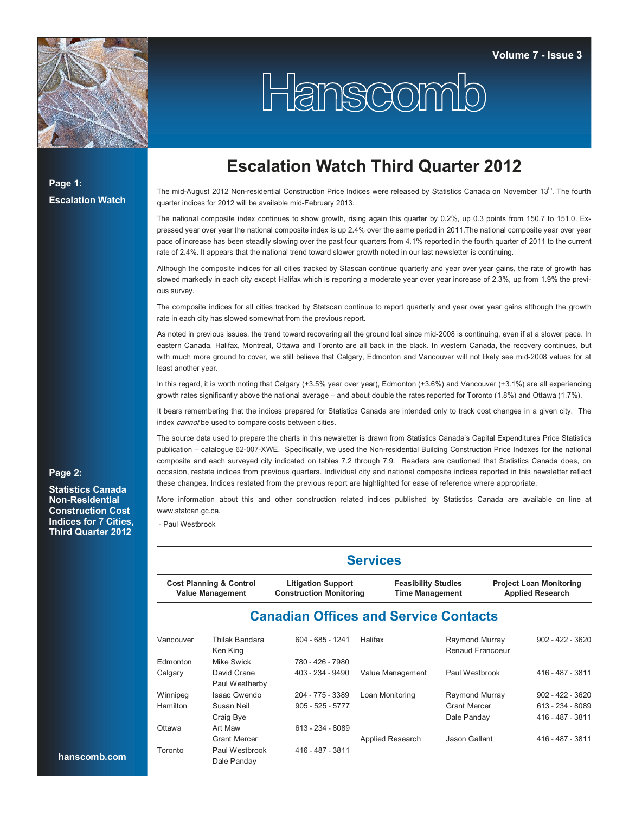

# Hanscomb

**Page 1: Escalation Watch**

**Page 2:** 

**Statistics Canada Non-Residential Construction Cost Indices for 7 Cities, Third Quarter 2012**

## **Escalation Watch Third Quarter 2012**

The mid-August 2012 Non-residential Construction Price Indices were released by Statistics Canada on November 13<sup>th</sup>. The fourth quarter indices for 2012 will be available mid-February 2013.

The national composite index continues to show growth, rising again this quarter by 0.2%, up 0.3 points from 150.7 to 151.0. Expressed year over year the national composite index is up 2.4% over the same period in 2011.The national composite year over year pace of increase has been steadily slowing over the past four quarters from 4.1% reported in the fourth quarter of 2011 to the current rate of 2.4%. It appears that the national trend toward slower growth noted in our last newsletter is continuing.

Although the composite indices for all cities tracked by Stascan continue quarterly and year over year gains, the rate of growth has slowed markedly in each city except Halifax which is reporting a moderate year over year increase of 2.3%, up from 1.9% the previous survey.

The composite indices for all cities tracked by Statscan continue to report quarterly and year over year gains although the growth rate in each city has slowed somewhat from the previous report.

As noted in previous issues, the trend toward recovering all the ground lost since mid-2008 is continuing, even if at a slower pace. In eastern Canada, Halifax, Montreal, Ottawa and Toronto are all back in the black. In western Canada, the recovery continues, but with much more ground to cover, we still believe that Calgary, Edmonton and Vancouver will not likely see mid-2008 values for at least another year.

In this regard, it is worth noting that Calgary (+3.5% year over year), Edmonton (+3.6%) and Vancouver (+3.1%) are all experiencing growth rates significantly above the national average – and about double the rates reported for Toronto (1.8%) and Ottawa (1.7%).

It bears remembering that the indices prepared for Statistics Canada are intended only to track cost changes in a given city. The index *cannot* be used to compare costs between cities.

The source data used to prepare the charts in this newsletter is drawn from Statistics Canada's Capital Expenditures Price Statistics publication – catalogue 62-007-XWE. Specifically, we used the Non-residential Building Construction Price Indexes for the national composite and each surveyed city indicated on tables 7.2 through 7.9. Readers are cautioned that Statistics Canada does, on occasion, restate indices from previous quarters. Individual city and national composite indices reported in this newsletter reflect these changes. Indices restated from the previous report are highlighted for ease of reference where appropriate.

More information about this and other construction related indices published by Statistics Canada are available on line at www.statcan.gc.ca.

- Paul Westbrook

#### **Services**

| <b>Project Loan Monitoring</b><br><b>Cost Planning &amp; Control</b><br><b>Litigation Support</b><br><b>Feasibility Studies</b><br><b>Construction Monitoring</b><br><b>Applied Research</b><br><b>Value Management</b><br><b>Time Management</b> |
|---------------------------------------------------------------------------------------------------------------------------------------------------------------------------------------------------------------------------------------------------|
|---------------------------------------------------------------------------------------------------------------------------------------------------------------------------------------------------------------------------------------------------|

#### **Canadian Offices and Service Contacts**

| Vancouver | Thilak Bandara      | $604 - 685 - 1241$ | Halifax          | Raymond Murray      | $902 - 422 - 3620$ |
|-----------|---------------------|--------------------|------------------|---------------------|--------------------|
|           | Ken King            |                    |                  | Renaud Francoeur    |                    |
| Edmonton  | Mike Swick          | 780 - 426 - 7980   |                  |                     |                    |
| Calgary   | David Crane         | 403 - 234 - 9490   | Value Management | Paul Westbrook      | 416 - 487 - 3811   |
|           | Paul Weatherby      |                    |                  |                     |                    |
| Winnipeg  | Isaac Gwendo        | 204 - 775 - 3389   | Loan Monitoring  | Raymond Murray      | $902 - 422 - 3620$ |
| Hamilton  | Susan Neil          | $905 - 525 - 5777$ |                  | <b>Grant Mercer</b> | 613 - 234 - 8089   |
|           | Craig Bye           |                    |                  | Dale Panday         | 416 - 487 - 3811   |
| Ottawa    | Art Maw             | 613 - 234 - 8089   |                  |                     |                    |
|           | <b>Grant Mercer</b> |                    | Applied Research | Jason Gallant       | 416 - 487 - 3811   |
| Toronto   | Paul Westbrook      | 416 - 487 - 3811   |                  |                     |                    |
|           | Dale Panday         |                    |                  |                     |                    |